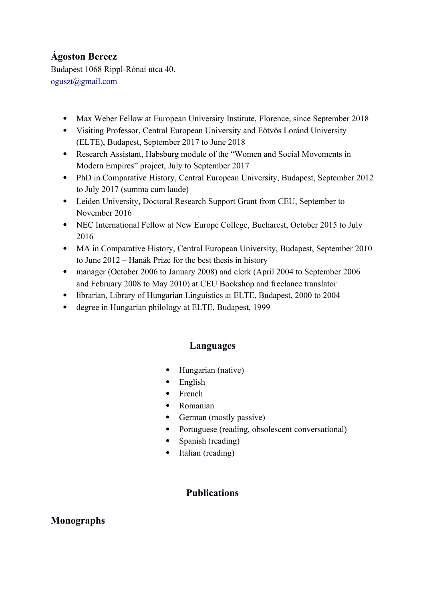# **Ágoston Berecz**

Budapest 1068 Rippl-Rónai utca 40. [oguszt@gmail.com](mailto:oguszt@gmail.com)

- Max Weber Fellow at European University Institute, Florence, since September 2018
- Visiting Professor, Central European University and Eötvös Loránd University (ELTE), Budapest, September 2017 to June 2018
- Research Assistant, Habsburg module of the "Women and Social Movements in Modern Empires" project, July to September 2017
- PhD in Comparative History, Central European University, Budapest, September 2012 to July 2017 (summa cum laude)
- Leiden University, Doctoral Research Support Grant from CEU, September to November 2016
- NEC International Fellow at New Europe College, Bucharest, October 2015 to July 2016
- MA in Comparative History, Central European University, Budapest, September 2010 to June 2012 – Hanák Prize for the best thesis in history
- manager (October 2006 to January 2008) and clerk (April 2004 to September 2006 and February 2008 to May 2010) at CEU Bookshop and freelance translator
- librarian, Library of Hungarian Linguistics at ELTE, Budapest, 2000 to 2004
- degree in Hungarian philology at ELTE, Budapest, 1999

### **Languages**

- Hungarian (native)
- English
- French
- Romanian
- German (mostly passive)
- Portuguese (reading, obsolescent conversational)
- Spanish (reading)
- Italian (reading)

# **Publications**

### **Monographs**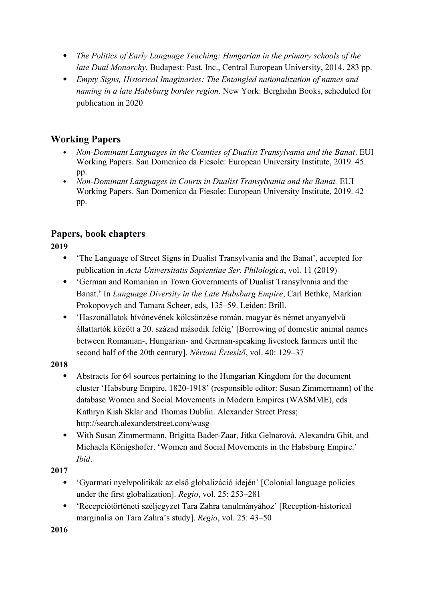- *The Politics of Early Language Teaching: Hungarian in the primary schools of the late Dual Monarchy.* Budapest: Past, Inc., Central European University, 2014. 283 pp.
- *Empty Signs, Historical Imaginaries: The Entangled nationalization of names and naming in a late Habsburg border region*. New York: Berghahn Books, scheduled for publication in 2020

# **Working Papers**

- *Non-Dominant Languages in the Counties of Dualist Transylvania and the Banat*. EUI Working Papers. San Domenico da Fiesole: European University Institute, 2019. 45 pp.
- *Non-Dominant Languages in Courts in Dualist Transylvania and the Banat.* EUI Working Papers. San Domenico da Fiesole: European University Institute, 2019. 42 pp.

# **Papers, book chapters**

# **2019**

- 'The Language of Street Signs in Dualist Transylvania and the Banat', accepted for publication in *Acta Universitatis Sapientiae Ser. Philologica*, vol. 11 (2019)
- 'German and Romanian in Town Governments of Dualist Transylvania and the Banat.' In *Language Diversity in the Late Habsburg Empire*, Carl Bethke, Markian Prokopovych and Tamara Scheer, eds, 135–59. Leiden: Brill.
- 'Haszonállatok hívónevének kölcsönzése román, magyar és német anyanyelvű állattartók között a 20. század második feléig' [Borrowing of domestic animal names between Romanian-, Hungarian- and German-speaking livestock farmers until the second half of the 20th century]. *Névtani Értesítő*, vol. 40: 129–37

### **2018**

- Abstracts for 64 sources pertaining to the Hungarian Kingdom for the document cluster 'Habsburg Empire, 1820-1918' (responsible editor: Susan Zimmermann) of the database Women and Social Movements in Modern Empires (WASMME), eds Kathryn Kish Sklar and Thomas Dublin. Alexander Street Press; <http://search.alexanderstreet.com/wasg>
- With Susan Zimmermann, Brigitta Bader-Zaar, Jitka Gelnarová, Alexandra Ghit, and Michaela Königshofer. 'Women and Social Movements in the Habsburg Empire.' *Ibid*.

### **2017**

- 'Gyarmati nyelvpolitikák az első globalizáció idején' [Colonial language policies under the first globalization]. *Regio*, vol. 25: 253–281
- 'Recepciótörténeti széljegyzet Tara Zahra tanulmányához' [Reception-historical marginalia on Tara Zahra's study]. *Regio*, vol. 25: 43–50

**2016**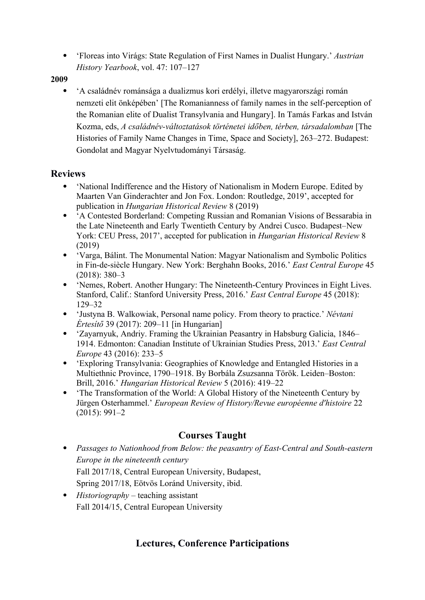'Floreas into Virágs: State Regulation of First Names in Dualist Hungary.' *Austrian History Yearbook*, vol. 47: 107–127

#### **2009**

 'A családnév románsága a dualizmus kori erdélyi, illetve magyarországi román nemzeti elit önképében' [The Romanianness of family names in the self-perception of the Romanian elite of Dualist Transylvania and Hungary]. In Tamás Farkas and István Kozma, eds, *A családnév-változtatások történetei időben, térben, társadalomban* [The Histories of Family Name Changes in Time, Space and Society], 263–272. Budapest: Gondolat and Magyar Nyelvtudományi Társaság.

#### **Reviews**

- 'National Indifference and the History of Nationalism in Modern Europe. Edited by Maarten Van Ginderachter and Jon Fox. London: Routledge, 2019', accepted for publication in *Hungarian Historical Review* 8 (2019)
- 'A Contested Borderland: Competing Russian and Romanian Visions of Bessarabia in the Late Nineteenth and Early Twentieth Century by Andrei Cusco. Budapest–New York: CEU Press, 2017', accepted for publication in *Hungarian Historical Review* 8 (2019)
- 'Varga, Bálint. The Monumental Nation: Magyar Nationalism and Symbolic Politics in Fin-de-siècle Hungary. New York: Berghahn Books, 2016.' *East Central Europe* 45 (2018): 380–3
- 'Nemes, Robert. Another Hungary: The Nineteenth-Century Provinces in Eight Lives. Stanford, Calif.: Stanford University Press, 2016.' *East Central Europe* 45 (2018): 129–32
- 'Justyna B. Walkowiak, Personal name policy. From theory to practice.' *Névtani Értesítő* 39 (2017): 209–11 [in Hungarian]
- 'Zayarnyuk, Andriy. Framing the Ukrainian Peasantry in Habsburg Galicia, 1846– 1914. Edmonton: Canadian Institute of Ukrainian Studies Press, 2013.' *East Central Europe* 43 (2016): 233–5
- 'Exploring Transylvania: Geographies of Knowledge and Entangled Histories in a Multiethnic Province, 1790–1918. By Borbála Zsuzsanna Török. Leiden–Boston: Brill, 2016.' *Hungarian Historical Review* 5 (2016): 419–22
- 'The Transformation of the World: A Global History of the Nineteenth Century by Jürgen Osterhammel.' *European Review of History/Revue européenne d'histoire* 22 (2015): 991–2

### **Courses Taught**

- *Passages to Nationhood from Below: the peasantry of East-Central and South-eastern Europe in the nineteenth century* Fall 2017/18, Central European University, Budapest, Spring 2017/18, Eötvös Loránd University, ibid.
- *Historiography* teaching assistant Fall 2014/15, Central European University

# **Lectures, Conference Participations**